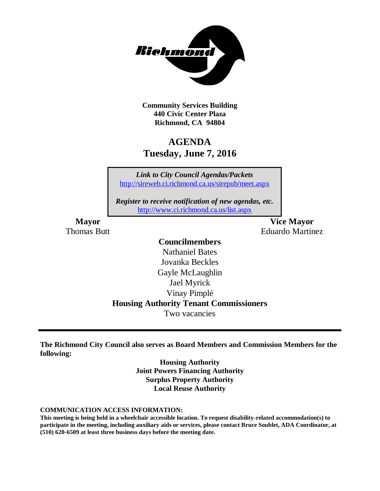

**Community Services Building 440 Civic Center Plaza Richmond, CA 94804**

# **AGENDA Tuesday, June 7, 2016**

*Link to City Council Agendas/Packets* <http://sireweb.ci.richmond.ca.us/sirepub/meet.aspx>

*Register to receive notification of new agendas, etc.* <http://www.ci.richmond.ca.us/list.aspx>

**Mayor Vice Mayor** Thomas Butt **Eduardo Martinez** 

### **Councilmembers**

Nathaniel Bates Jovanka Beckles Gayle McLaughlin Jael Myrick Vinay Pimplé **Housing Authority Tenant Commissioners** Two vacancies

**The Richmond City Council also serves as Board Members and Commission Members for the following:**

> **Housing Authority Joint Powers Financing Authority Surplus Property Authority Local Reuse Authority**

**COMMUNICATION ACCESS INFORMATION:**

**This meeting is being held in a wheelchair accessible location. To request disability-related accommodation(s) to participate in the meeting, including auxiliary aids or services, please contact Bruce Soublet, ADA Coordinator, at (510) 620-6509 at least three business days before the meeting date.**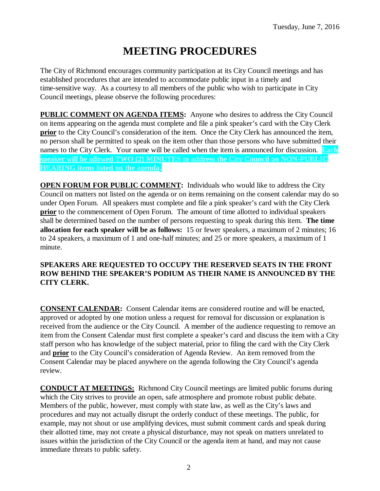# **MEETING PROCEDURES**

The City of Richmond encourages community participation at its City Council meetings and has established procedures that are intended to accommodate public input in a timely and time-sensitive way. As a courtesy to all members of the public who wish to participate in City Council meetings, please observe the following procedures:

**PUBLIC COMMENT ON AGENDA ITEMS:** Anyone who desires to address the City Council on items appearing on the agenda must complete and file a pink speaker's card with the City Clerk **prior** to the City Council's consideration of the item. Once the City Clerk has announced the item, no person shall be permitted to speak on the item other than those persons who have submitted their names to the City Clerk. Your name will be called when the item is announced for discussion. **Each speaker will be allowed TWO (2) MINUTES to address the City Council on NON-PUBLIC HEARING items listed on the agenda.**

**OPEN FORUM FOR PUBLIC COMMENT:** Individuals who would like to address the City Council on matters not listed on the agenda or on items remaining on the consent calendar may do so under Open Forum. All speakers must complete and file a pink speaker's card with the City Clerk **prior** to the commencement of Open Forum. The amount of time allotted to individual speakers shall be determined based on the number of persons requesting to speak during this item. **The time allocation for each speaker will be as follows:** 15 or fewer speakers, a maximum of 2 minutes; 16 to 24 speakers, a maximum of 1 and one-half minutes; and 25 or more speakers, a maximum of 1 minute.

#### **SPEAKERS ARE REQUESTED TO OCCUPY THE RESERVED SEATS IN THE FRONT ROW BEHIND THE SPEAKER'S PODIUM AS THEIR NAME IS ANNOUNCED BY THE CITY CLERK.**

**CONSENT CALENDAR:** Consent Calendar items are considered routine and will be enacted, approved or adopted by one motion unless a request for removal for discussion or explanation is received from the audience or the City Council. A member of the audience requesting to remove an item from the Consent Calendar must first complete a speaker's card and discuss the item with a City staff person who has knowledge of the subject material, prior to filing the card with the City Clerk and **prior** to the City Council's consideration of Agenda Review. An item removed from the Consent Calendar may be placed anywhere on the agenda following the City Council's agenda review.

**CONDUCT AT MEETINGS:** Richmond City Council meetings are limited public forums during which the City strives to provide an open, safe atmosphere and promote robust public debate. Members of the public, however, must comply with state law, as well as the City's laws and procedures and may not actually disrupt the orderly conduct of these meetings. The public, for example, may not shout or use amplifying devices, must submit comment cards and speak during their allotted time, may not create a physical disturbance, may not speak on matters unrelated to issues within the jurisdiction of the City Council or the agenda item at hand, and may not cause immediate threats to public safety.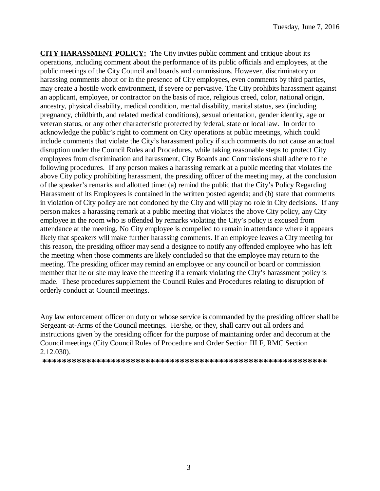**CITY HARASSMENT POLICY:** The City invites public comment and critique about its operations, including comment about the performance of its public officials and employees, at the public meetings of the City Council and boards and commissions. However, discriminatory or harassing comments about or in the presence of City employees, even comments by third parties, may create a hostile work environment, if severe or pervasive. The City prohibits harassment against an applicant, employee, or contractor on the basis of race, religious creed, color, national origin, ancestry, physical disability, medical condition, mental disability, marital status, sex (including pregnancy, childbirth, and related medical conditions), sexual orientation, gender identity, age or veteran status, or any other characteristic protected by federal, state or local law. In order to acknowledge the public's right to comment on City operations at public meetings, which could include comments that violate the City's harassment policy if such comments do not cause an actual disruption under the Council Rules and Procedures, while taking reasonable steps to protect City employees from discrimination and harassment, City Boards and Commissions shall adhere to the following procedures. If any person makes a harassing remark at a public meeting that violates the above City policy prohibiting harassment, the presiding officer of the meeting may, at the conclusion of the speaker's remarks and allotted time: (a) remind the public that the City's Policy Regarding Harassment of its Employees is contained in the written posted agenda; and (b) state that comments in violation of City policy are not condoned by the City and will play no role in City decisions. If any person makes a harassing remark at a public meeting that violates the above City policy, any City employee in the room who is offended by remarks violating the City's policy is excused from attendance at the meeting. No City employee is compelled to remain in attendance where it appears likely that speakers will make further harassing comments. If an employee leaves a City meeting for this reason, the presiding officer may send a designee to notify any offended employee who has left the meeting when those comments are likely concluded so that the employee may return to the meeting. The presiding officer may remind an employee or any council or board or commission member that he or she may leave the meeting if a remark violating the City's harassment policy is made. These procedures supplement the Council Rules and Procedures relating to disruption of orderly conduct at Council meetings.

Any law enforcement officer on duty or whose service is commanded by the presiding officer shall be Sergeant-at-Arms of the Council meetings. He/she, or they, shall carry out all orders and instructions given by the presiding officer for the purpose of maintaining order and decorum at the Council meetings (City Council Rules of Procedure and Order Section III F, RMC Section 2.12.030).

**\*\*\*\*\*\*\*\*\*\*\*\*\*\*\*\*\*\*\*\*\*\*\*\*\*\*\*\*\*\*\*\*\*\*\*\*\*\*\*\*\*\*\*\*\*\*\*\*\*\*\*\*\*\*\*\*\*\***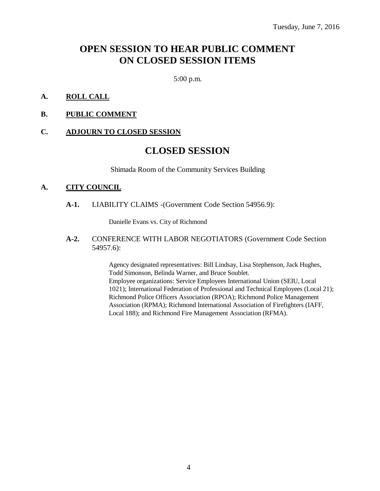# **OPEN SESSION TO HEAR PUBLIC COMMENT ON CLOSED SESSION ITEMS**

5:00 p.m.

#### **A. ROLL CALL**

#### **B. PUBLIC COMMENT**

#### **C. ADJOURN TO CLOSED SESSION**

### **CLOSED SESSION**

Shimada Room of the Community Services Building

#### **A. CITY COUNCIL**

**A-1.** LIABILITY CLAIMS -(Government Code Section 54956.9):

Danielle Evans vs. City of Richmond

**A-2.** CONFERENCE WITH LABOR NEGOTIATORS (Government Code Section 54957.6):

> Agency designated representatives: Bill Lindsay, Lisa Stephenson, Jack Hughes, Todd Simonson, Belinda Warner, and Bruce Soublet. Employee organizations: Service Employees International Union (SEIU, Local 1021); International Federation of Professional and Technical Employees (Local 21); Richmond Police Officers Association (RPOA); Richmond Police Management Association (RPMA); Richmond International Association of Firefighters (IAFF, Local 188); and Richmond Fire Management Association (RFMA).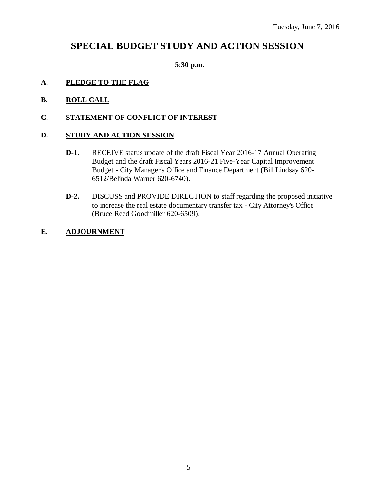## **SPECIAL BUDGET STUDY AND ACTION SESSION**

#### **5:30 p.m.**

#### **A. PLEDGE TO THE FLAG**

**B. ROLL CALL**

#### **C. STATEMENT OF CONFLICT OF INTEREST**

#### **D. STUDY AND ACTION SESSION**

- **D-1.** RECEIVE status update of the draft Fiscal Year 2016-17 Annual Operating Budget and the draft Fiscal Years 2016-21 Five-Year Capital Improvement Budget - City Manager's Office and Finance Department (Bill Lindsay 620- 6512/Belinda Warner 620-6740).
- **D-2.** DISCUSS and PROVIDE DIRECTION to staff regarding the proposed initiative to increase the real estate documentary transfer tax - City Attorney's Office (Bruce Reed Goodmiller 620-6509).

#### **E. ADJOURNMENT**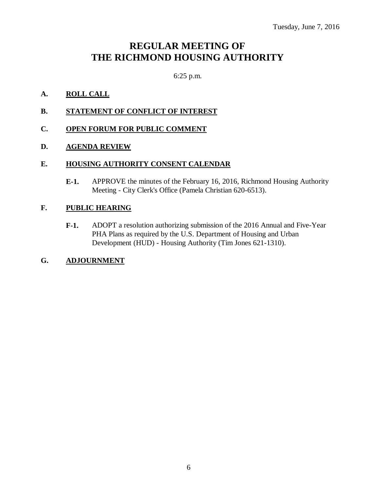# **REGULAR MEETING OF THE RICHMOND HOUSING AUTHORITY**

6:25 p.m.

### **A. ROLL CALL**

**B. STATEMENT OF CONFLICT OF INTEREST**

#### **C. OPEN FORUM FOR PUBLIC COMMENT**

#### **D. AGENDA REVIEW**

#### **E. HOUSING AUTHORITY CONSENT CALENDAR**

**E-1.** APPROVE the minutes of the February 16, 2016, Richmond Housing Authority Meeting - City Clerk's Office (Pamela Christian 620-6513).

#### **F. PUBLIC HEARING**

**F-1.** ADOPT a resolution authorizing submission of the 2016 Annual and Five-Year PHA Plans as required by the U.S. Department of Housing and Urban Development (HUD) - Housing Authority (Tim Jones 621-1310).

#### **G. ADJOURNMENT**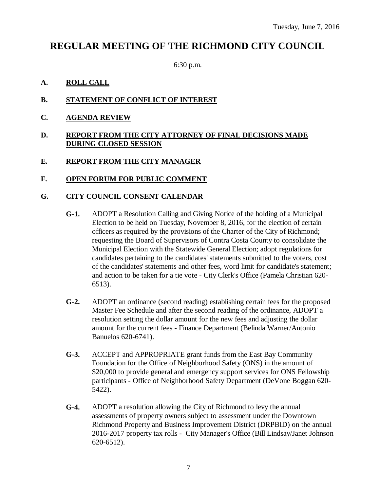## **REGULAR MEETING OF THE RICHMOND CITY COUNCIL**

6:30 p.m.

#### **A. ROLL CALL**

- **B. STATEMENT OF CONFLICT OF INTEREST**
- **C. AGENDA REVIEW**

#### **D. REPORT FROM THE CITY ATTORNEY OF FINAL DECISIONS MADE DURING CLOSED SESSION**

#### **E. REPORT FROM THE CITY MANAGER**

#### **F. OPEN FORUM FOR PUBLIC COMMENT**

#### **G. CITY COUNCIL CONSENT CALENDAR**

- **G-1.** ADOPT a Resolution Calling and Giving Notice of the holding of a Municipal Election to be held on Tuesday, November 8, 2016, for the election of certain officers as required by the provisions of the Charter of the City of Richmond; requesting the Board of Supervisors of Contra Costa County to consolidate the Municipal Election with the Statewide General Election; adopt regulations for candidates pertaining to the candidates' statements submitted to the voters, cost of the candidates' statements and other fees, word limit for candidate's statement; and action to be taken for a tie vote - City Clerk's Office (Pamela Christian 620- 6513).
- **G-2.** ADOPT an ordinance (second reading) establishing certain fees for the proposed Master Fee Schedule and after the second reading of the ordinance, ADOPT a resolution setting the dollar amount for the new fees and adjusting the dollar amount for the current fees - Finance Department (Belinda Warner/Antonio Banuelos 620-6741).
- **G-3.** ACCEPT and APPROPRIATE grant funds from the East Bay Community Foundation for the Office of Neighborhood Safety (ONS) in the amount of \$20,000 to provide general and emergency support services for ONS Fellowship participants - Office of Neighborhood Safety Department (DeVone Boggan 620- 5422).
- **G-4.** ADOPT a resolution allowing the City of Richmond to levy the annual assessments of property owners subject to assessment under the Downtown Richmond Property and Business Improvement District (DRPBID) on the annual 2016-2017 property tax rolls - City Manager's Office (Bill Lindsay/Janet Johnson 620-6512).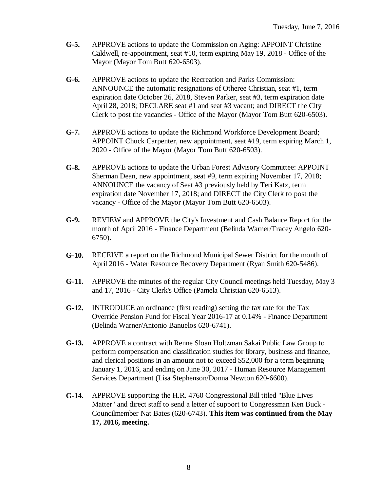- **G-5.** APPROVE actions to update the Commission on Aging: APPOINT Christine Caldwell, re-appointment, seat #10, term expiring May 19, 2018 - Office of the Mayor (Mayor Tom Butt 620-6503).
- **G-6.** APPROVE actions to update the Recreation and Parks Commission: ANNOUNCE the automatic resignations of Otheree Christian, seat #1, term expiration date October 26, 2018, Steven Parker, seat #3, term expiration date April 28, 2018; DECLARE seat #1 and seat #3 vacant; and DIRECT the City Clerk to post the vacancies - Office of the Mayor (Mayor Tom Butt 620-6503).
- **G-7.** APPROVE actions to update the Richmond Workforce Development Board; APPOINT Chuck Carpenter, new appointment, seat #19, term expiring March 1, 2020 - Office of the Mayor (Mayor Tom Butt 620-6503).
- **G-8.** APPROVE actions to update the Urban Forest Advisory Committee: APPOINT Sherman Dean, new appointment, seat #9, term expiring November 17, 2018; ANNOUNCE the vacancy of Seat #3 previously held by Teri Katz, term expiration date November 17, 2018; and DIRECT the City Clerk to post the vacancy - Office of the Mayor (Mayor Tom Butt 620-6503).
- **G-9.** REVIEW and APPROVE the City's Investment and Cash Balance Report for the month of April 2016 - Finance Department (Belinda Warner/Tracey Angelo 620- 6750).
- **G-10.** RECEIVE a report on the Richmond Municipal Sewer District for the month of April 2016 - Water Resource Recovery Department (Ryan Smith 620-5486).
- **G-11.** APPROVE the minutes of the regular City Council meetings held Tuesday, May 3 and 17, 2016 - City Clerk's Office (Pamela Christian 620-6513).
- **G-12.** INTRODUCE an ordinance (first reading) setting the tax rate for the Tax Override Pension Fund for Fiscal Year 2016-17 at 0.14% - Finance Department (Belinda Warner/Antonio Banuelos 620-6741).
- **G-13.** APPROVE a contract with Renne Sloan Holtzman Sakai Public Law Group to perform compensation and classification studies for library, business and finance, and clerical positions in an amount not to exceed \$52,000 for a term beginning January 1, 2016, and ending on June 30, 2017 - Human Resource Management Services Department (Lisa Stephenson/Donna Newton 620-6600).
- **G-14.** APPROVE supporting the H.R. 4760 Congressional Bill titled "Blue Lives Matter" and direct staff to send a letter of support to Congressman Ken Buck - Councilmember Nat Bates (620-6743). **This item was continued from the May 17, 2016, meeting.**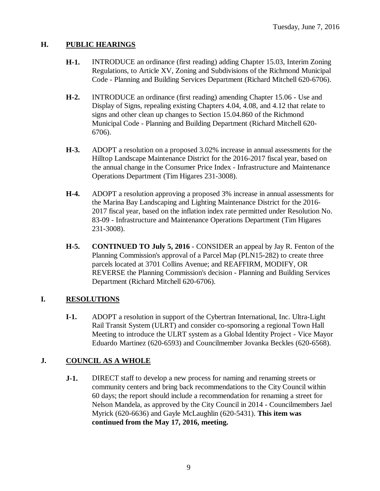### **H. PUBLIC HEARINGS**

- **H-1.** INTRODUCE an ordinance (first reading) adding Chapter 15.03, Interim Zoning Regulations, to Article XV, Zoning and Subdivisions of the Richmond Municipal Code - Planning and Building Services Department (Richard Mitchell 620-6706).
- **H-2.** INTRODUCE an ordinance (first reading) amending Chapter 15.06 Use and Display of Signs, repealing existing Chapters 4.04, 4.08, and 4.12 that relate to signs and other clean up changes to Section 15.04.860 of the Richmond Municipal Code - Planning and Building Department (Richard Mitchell 620- 6706).
- **H-3.** ADOPT a resolution on a proposed 3.02% increase in annual assessments for the Hilltop Landscape Maintenance District for the 2016-2017 fiscal year, based on the annual change in the Consumer Price Index - Infrastructure and Maintenance Operations Department (Tim Higares 231-3008).
- **H-4.** ADOPT a resolution approving a proposed 3% increase in annual assessments for the Marina Bay Landscaping and Lighting Maintenance District for the 2016- 2017 fiscal year, based on the inflation index rate permitted under Resolution No. 83-09 - Infrastructure and Maintenance Operations Department (Tim Higares 231-3008).
- **H-5. CONTINUED TO July 5, 2016** CONSIDER an appeal by Jay R. Fenton of the Planning Commission's approval of a Parcel Map (PLN15-282) to create three parcels located at 3701 Collins Avenue; and REAFFIRM, MODIFY, OR REVERSE the Planning Commission's decision - Planning and Building Services Department (Richard Mitchell 620-6706).

### **I. RESOLUTIONS**

**I-1.** ADOPT a resolution in support of the Cybertran International, Inc. Ultra-Light Rail Transit System (ULRT) and consider co-sponsoring a regional Town Hall Meeting to introduce the ULRT system as a Global Identity Project - Vice Mayor Eduardo Martinez (620-6593) and Councilmember Jovanka Beckles (620-6568).

### **J. COUNCIL AS A WHOLE**

**J-1.** DIRECT staff to develop a new process for naming and renaming streets or community centers and bring back recommendations to the City Council within 60 days; the report should include a recommendation for renaming a street for Nelson Mandela, as approved by the City Council in 2014 - Councilmembers Jael Myrick (620-6636) and Gayle McLaughlin (620-5431). **This item was continued from the May 17, 2016, meeting.**